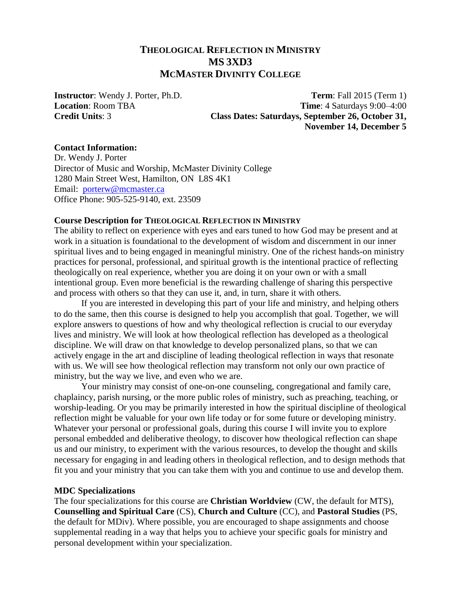# **THEOLOGICAL REFLECTION IN MINISTRY MS 3XD3 MCMASTER DIVINITY COLLEGE**

**Instructor**: Wendy J. Porter, Ph.D. **Term**: Fall 2015 (Term 1) **Location**: Room TBA **Time**: 4 Saturdays 9:00–4:00 **Credit Units**: 3 **Class Dates: Saturdays, September 26, October 31, November 14, December 5**

#### **Contact Information:**

Dr. Wendy J. Porter Director of Music and Worship, McMaster Divinity College 1280 Main Street West, Hamilton, ON L8S 4K1 Email: [porterw@mcmaster.ca](mailto:porterw@mcmaster.ca) Office Phone: 905-525-9140, ext. 23509

#### **Course Description for THEOLOGICAL REFLECTION IN MINISTRY**

The ability to reflect on experience with eyes and ears tuned to how God may be present and at work in a situation is foundational to the development of wisdom and discernment in our inner spiritual lives and to being engaged in meaningful ministry. One of the richest hands-on ministry practices for personal, professional, and spiritual growth is the intentional practice of reflecting theologically on real experience, whether you are doing it on your own or with a small intentional group. Even more beneficial is the rewarding challenge of sharing this perspective and process with others so that they can use it, and, in turn, share it with others.

If you are interested in developing this part of your life and ministry, and helping others to do the same, then this course is designed to help you accomplish that goal. Together, we will explore answers to questions of how and why theological reflection is crucial to our everyday lives and ministry. We will look at how theological reflection has developed as a theological discipline. We will draw on that knowledge to develop personalized plans, so that we can actively engage in the art and discipline of leading theological reflection in ways that resonate with us. We will see how theological reflection may transform not only our own practice of ministry, but the way we live, and even who we are.

Your ministry may consist of one-on-one counseling, congregational and family care, chaplaincy, parish nursing, or the more public roles of ministry, such as preaching, teaching, or worship-leading. Or you may be primarily interested in how the spiritual discipline of theological reflection might be valuable for your own life today or for some future or developing ministry. Whatever your personal or professional goals, during this course I will invite you to explore personal embedded and deliberative theology, to discover how theological reflection can shape us and our ministry, to experiment with the various resources, to develop the thought and skills necessary for engaging in and leading others in theological reflection, and to design methods that fit you and your ministry that you can take them with you and continue to use and develop them.

#### **MDC Specializations**

The four specializations for this course are **Christian Worldview** (CW, the default for MTS), **Counselling and Spiritual Care** (CS), **Church and Culture** (CC), and **Pastoral Studies** (PS, the default for MDiv). Where possible, you are encouraged to shape assignments and choose supplemental reading in a way that helps you to achieve your specific goals for ministry and personal development within your specialization.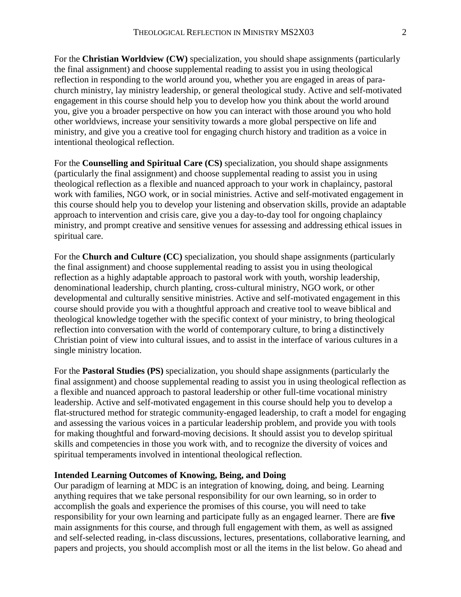For the **Christian Worldview (CW)** specialization, you should shape assignments (particularly the final assignment) and choose supplemental reading to assist you in using theological reflection in responding to the world around you, whether you are engaged in areas of parachurch ministry, lay ministry leadership, or general theological study. Active and self-motivated engagement in this course should help you to develop how you think about the world around you, give you a broader perspective on how you can interact with those around you who hold other worldviews, increase your sensitivity towards a more global perspective on life and ministry, and give you a creative tool for engaging church history and tradition as a voice in intentional theological reflection.

For the **Counselling and Spiritual Care (CS)** specialization, you should shape assignments (particularly the final assignment) and choose supplemental reading to assist you in using theological reflection as a flexible and nuanced approach to your work in chaplaincy, pastoral work with families, NGO work, or in social ministries. Active and self-motivated engagement in this course should help you to develop your listening and observation skills, provide an adaptable approach to intervention and crisis care, give you a day-to-day tool for ongoing chaplaincy ministry, and prompt creative and sensitive venues for assessing and addressing ethical issues in spiritual care.

For the **Church and Culture (CC)** specialization, you should shape assignments (particularly the final assignment) and choose supplemental reading to assist you in using theological reflection as a highly adaptable approach to pastoral work with youth, worship leadership, denominational leadership, church planting, cross-cultural ministry, NGO work, or other developmental and culturally sensitive ministries. Active and self-motivated engagement in this course should provide you with a thoughtful approach and creative tool to weave biblical and theological knowledge together with the specific context of your ministry, to bring theological reflection into conversation with the world of contemporary culture, to bring a distinctively Christian point of view into cultural issues, and to assist in the interface of various cultures in a single ministry location.

For the **Pastoral Studies (PS)** specialization, you should shape assignments (particularly the final assignment) and choose supplemental reading to assist you in using theological reflection as a flexible and nuanced approach to pastoral leadership or other full-time vocational ministry leadership. Active and self-motivated engagement in this course should help you to develop a flat-structured method for strategic community-engaged leadership, to craft a model for engaging and assessing the various voices in a particular leadership problem, and provide you with tools for making thoughtful and forward-moving decisions. It should assist you to develop spiritual skills and competencies in those you work with, and to recognize the diversity of voices and spiritual temperaments involved in intentional theological reflection.

#### **Intended Learning Outcomes of Knowing, Being, and Doing**

Our paradigm of learning at MDC is an integration of knowing, doing, and being. Learning anything requires that we take personal responsibility for our own learning, so in order to accomplish the goals and experience the promises of this course, you will need to take responsibility for your own learning and participate fully as an engaged learner. There are **five** main assignments for this course, and through full engagement with them, as well as assigned and self-selected reading, in-class discussions, lectures, presentations, collaborative learning, and papers and projects, you should accomplish most or all the items in the list below. Go ahead and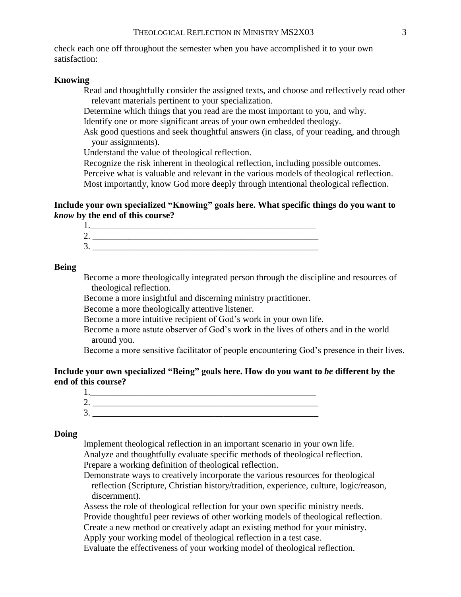check each one off throughout the semester when you have accomplished it to your own satisfaction:

#### **Knowing**

Read and thoughtfully consider the assigned texts, and choose and reflectively read other relevant materials pertinent to your specialization.

Determine which things that you read are the most important to you, and why. Identify one or more significant areas of your own embedded theology.

Ask good questions and seek thoughtful answers (in class, of your reading, and through your assignments).

Understand the value of theological reflection.

Recognize the risk inherent in theological reflection, including possible outcomes. Perceive what is valuable and relevant in the various models of theological reflection. Most importantly, know God more deeply through intentional theological reflection.

**Include your own specialized "Knowing" goals here. What specific things do you want to**  *know* **by the end of this course?** 

| ◠<br>∠ |  |  |
|--------|--|--|
| 3.     |  |  |

#### **Being**

Become a more theologically integrated person through the discipline and resources of theological reflection.

Become a more insightful and discerning ministry practitioner.

Become a more theologically attentive listener.

Become a more intuitive recipient of God's work in your own life.

Become a more astute observer of God's work in the lives of others and in the world around you.

Become a more sensitive facilitator of people encountering God's presence in their lives.

### **Include your own specialized "Being" goals here. How do you want to** *be* **different by the end of this course?**

| . . |  |
|-----|--|

#### **Doing**

Implement theological reflection in an important scenario in your own life. Analyze and thoughtfully evaluate specific methods of theological reflection. Prepare a working definition of theological reflection.

Demonstrate ways to creatively incorporate the various resources for theological reflection (Scripture, Christian history/tradition, experience, culture, logic/reason, discernment).

Assess the role of theological reflection for your own specific ministry needs. Provide thoughtful peer reviews of other working models of theological reflection.

Create a new method or creatively adapt an existing method for your ministry.

Apply your working model of theological reflection in a test case.

Evaluate the effectiveness of your working model of theological reflection.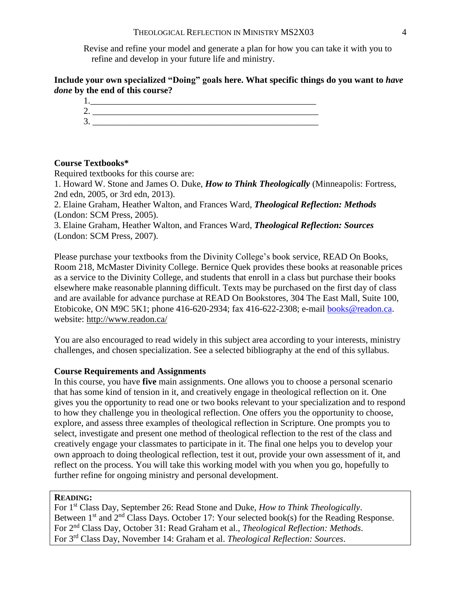Revise and refine your model and generate a plan for how you can take it with you to refine and develop in your future life and ministry.

### **Include your own specialized "Doing" goals here. What specific things do you want to** *have done* **by the end of this course?**



#### **Course Textbooks\***

Required textbooks for this course are:

1. Howard W. Stone and James O. Duke, *How to Think Theologically* (Minneapolis: Fortress, 2nd edn, 2005, or 3rd edn, 2013).

2. Elaine Graham, Heather Walton, and Frances Ward, *Theological Reflection: Methods*  (London: SCM Press, 2005).

3. Elaine Graham, Heather Walton, and Frances Ward, *Theological Reflection: Sources*  (London: SCM Press, 2007).

Please purchase your textbooks from the Divinity College's book service, READ On Books, Room 218, McMaster Divinity College. Bernice Quek provides these books at reasonable prices as a service to the Divinity College, and students that enroll in a class but purchase their books elsewhere make reasonable planning difficult. Texts may be purchased on the first day of class and are available for advance purchase at READ On Bookstores, 304 The East Mall, Suite 100, Etobicoke, ON M9C 5K1; phone 416-620-2934; fax 416-622-2308; e-mail [books@readon.ca.](mailto:books@readon.ca) website: http://www.readon.ca/

You are also encouraged to read widely in this subject area according to your interests, ministry challenges, and chosen specialization. See a selected bibliography at the end of this syllabus.

#### **Course Requirements and Assignments**

In this course, you have **five** main assignments. One allows you to choose a personal scenario that has some kind of tension in it, and creatively engage in theological reflection on it. One gives you the opportunity to read one or two books relevant to your specialization and to respond to how they challenge you in theological reflection. One offers you the opportunity to choose, explore, and assess three examples of theological reflection in Scripture. One prompts you to select, investigate and present one method of theological reflection to the rest of the class and creatively engage your classmates to participate in it. The final one helps you to develop your own approach to doing theological reflection, test it out, provide your own assessment of it, and reflect on the process. You will take this working model with you when you go, hopefully to further refine for ongoing ministry and personal development.

#### **READING:**

For 1st Class Day, September 26: Read Stone and Duke, *How to Think Theologically*. Between  $1<sup>st</sup>$  and  $2<sup>nd</sup>$  Class Days. October 17: Your selected book(s) for the Reading Response. For 2nd Class Day, October 31: Read Graham et al., *Theological Reflection: Methods*. For 3rd Class Day, November 14: Graham et al. *Theological Reflection: Sources*.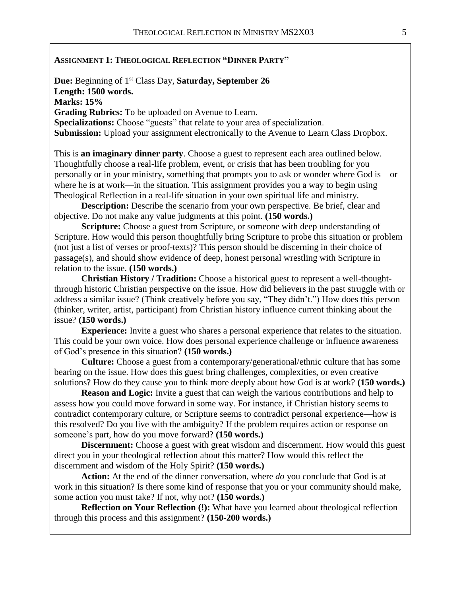#### **ASSIGNMENT 1: THEOLOGICAL REFLECTION "DINNER PARTY"**

**Due:** Beginning of 1<sup>st</sup> Class Day, **Saturday, September 26 Length: 1500 words. Marks: 15% Grading Rubrics:** To be uploaded on Avenue to Learn. **Specializations:** Choose "guests" that relate to your area of specialization. **Submission:** Upload your assignment electronically to the Avenue to Learn Class Dropbox.

This is **an imaginary dinner party**. Choose a guest to represent each area outlined below. Thoughtfully choose a real-life problem, event, or crisis that has been troubling for you personally or in your ministry, something that prompts you to ask or wonder where God is—or where he is at work—in the situation. This assignment provides you a way to begin using Theological Reflection in a real-life situation in your own spiritual life and ministry.

**Description:** Describe the scenario from your own perspective. Be brief, clear and objective. Do not make any value judgments at this point. **(150 words.)**

**Scripture:** Choose a guest from Scripture, or someone with deep understanding of Scripture. How would this person thoughtfully bring Scripture to probe this situation or problem (not just a list of verses or proof-texts)? This person should be discerning in their choice of passage(s), and should show evidence of deep, honest personal wrestling with Scripture in relation to the issue. **(150 words.)**

**Christian History / Tradition:** Choose a historical guest to represent a well-thoughtthrough historic Christian perspective on the issue. How did believers in the past struggle with or address a similar issue? (Think creatively before you say, "They didn't.") How does this person (thinker, writer, artist, participant) from Christian history influence current thinking about the issue? **(150 words.)**

**Experience:** Invite a guest who shares a personal experience that relates to the situation. This could be your own voice. How does personal experience challenge or influence awareness of God's presence in this situation? **(150 words.)**

**Culture:** Choose a guest from a contemporary/generational/ethnic culture that has some bearing on the issue. How does this guest bring challenges, complexities, or even creative solutions? How do they cause you to think more deeply about how God is at work? **(150 words.)**

**Reason and Logic:** Invite a guest that can weigh the various contributions and help to assess how you could move forward in some way. For instance, if Christian history seems to contradict contemporary culture, or Scripture seems to contradict personal experience—how is this resolved? Do you live with the ambiguity? If the problem requires action or response on someone's part, how do you move forward? **(150 words.)**

**Discernment:** Choose a guest with great wisdom and discernment. How would this guest direct you in your theological reflection about this matter? How would this reflect the discernment and wisdom of the Holy Spirit? **(150 words.)**

**Action:** At the end of the dinner conversation, where *do* you conclude that God is at work in this situation? Is there some kind of response that you or your community should make, some action you must take? If not, why not? **(150 words.)**

**Reflection on Your Reflection (!):** What have you learned about theological reflection through this process and this assignment? **(150-200 words.)**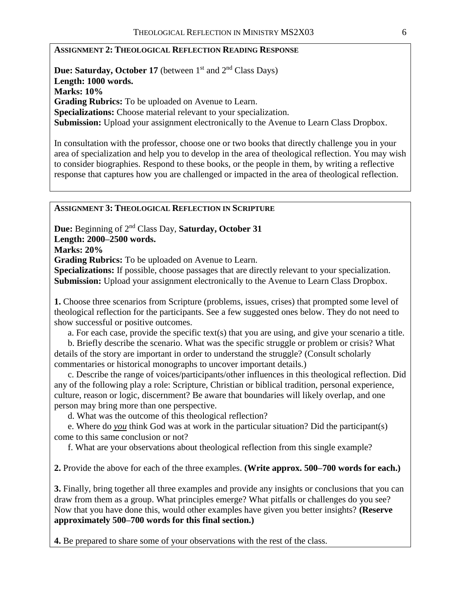### **ASSIGNMENT 2: THEOLOGICAL REFLECTION READING RESPONSE**

**Due: Saturday, October 17** (between 1<sup>st</sup> and 2<sup>nd</sup> Class Days) **Length: 1000 words. Marks: 10% Grading Rubrics:** To be uploaded on Avenue to Learn. **Specializations:** Choose material relevant to your specialization. **Submission:** Upload your assignment electronically to the Avenue to Learn Class Dropbox.

In consultation with the professor, choose one or two books that directly challenge you in your area of specialization and help you to develop in the area of theological reflection. You may wish to consider biographies. Respond to these books, or the people in them, by writing a reflective response that captures how you are challenged or impacted in the area of theological reflection.

#### **ASSIGNMENT 3: THEOLOGICAL REFLECTION IN SCRIPTURE**

**Due:** Beginning of 2 nd Class Day, **Saturday, October 31 Length: 2000–2500 words.** 

**Marks: 20%**

**Grading Rubrics:** To be uploaded on Avenue to Learn.

**Specializations:** If possible, choose passages that are directly relevant to your specialization. **Submission:** Upload your assignment electronically to the Avenue to Learn Class Dropbox.

**1.** Choose three scenarios from Scripture (problems, issues, crises) that prompted some level of theological reflection for the participants. See a few suggested ones below. They do not need to show successful or positive outcomes.

a. For each case, provide the specific text(s) that you are using, and give your scenario a title.

b. Briefly describe the scenario. What was the specific struggle or problem or crisis? What details of the story are important in order to understand the struggle? (Consult scholarly commentaries or historical monographs to uncover important details.)

c. Describe the range of voices/participants/other influences in this theological reflection. Did any of the following play a role: Scripture, Christian or biblical tradition, personal experience, culture, reason or logic, discernment? Be aware that boundaries will likely overlap, and one person may bring more than one perspective.

d. What was the outcome of this theological reflection?

e. Where do *you* think God was at work in the particular situation? Did the participant(s) come to this same conclusion or not?

f. What are your observations about theological reflection from this single example?

**2.** Provide the above for each of the three examples. **(Write approx. 500–700 words for each.)**

**3.** Finally, bring together all three examples and provide any insights or conclusions that you can draw from them as a group. What principles emerge? What pitfalls or challenges do you see? Now that you have done this, would other examples have given you better insights? **(Reserve approximately 500–700 words for this final section.)**

**4.** Be prepared to share some of your observations with the rest of the class.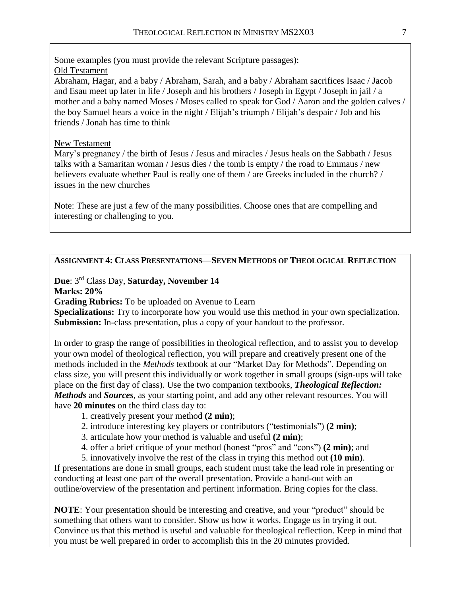Some examples (you must provide the relevant Scripture passages): Old Testament Abraham, Hagar, and a baby / Abraham, Sarah, and a baby / Abraham sacrifices Isaac / Jacob and Esau meet up later in life / Joseph and his brothers / Joseph in Egypt / Joseph in jail / a mother and a baby named Moses / Moses called to speak for God / Aaron and the golden calves / the boy Samuel hears a voice in the night / Elijah's triumph / Elijah's despair / Job and his friends / Jonah has time to think

### New Testament

Mary's pregnancy / the birth of Jesus / Jesus and miracles / Jesus heals on the Sabbath / Jesus talks with a Samaritan woman / Jesus dies / the tomb is empty / the road to Emmaus / new believers evaluate whether Paul is really one of them / are Greeks included in the church? / issues in the new churches

Note: These are just a few of the many possibilities. Choose ones that are compelling and interesting or challenging to you.

## **ASSIGNMENT 4: CLASS PRESENTATIONS—SEVEN METHODS OF THEOLOGICAL REFLECTION**

#### **Due**: 3 rd Class Day, **Saturday, November 14 Marks: 20%**

**Grading Rubrics:** To be uploaded on Avenue to Learn

**Specializations:** Try to incorporate how you would use this method in your own specialization. **Submission:** In-class presentation, plus a copy of your handout to the professor.

In order to grasp the range of possibilities in theological reflection, and to assist you to develop your own model of theological reflection, you will prepare and creatively present one of the methods included in the *Methods* textbook at our "Market Day for Methods". Depending on class size, you will present this individually or work together in small groups (sign-ups will take place on the first day of class). Use the two companion textbooks, *Theological Reflection: Methods* and *Sources*, as your starting point, and add any other relevant resources. You will have **20 minutes** on the third class day to:

- 1. creatively present your method **(2 min)**;
- 2. introduce interesting key players or contributors ("testimonials") **(2 min)**;
- 3. articulate how your method is valuable and useful **(2 min)**;
- 4. offer a brief critique of your method (honest "pros" and "cons") **(2 min)**; and
- 5. innovatively involve the rest of the class in trying this method out **(10 min)**.

If presentations are done in small groups, each student must take the lead role in presenting or conducting at least one part of the overall presentation. Provide a hand-out with an outline/overview of the presentation and pertinent information. Bring copies for the class.

**NOTE**: Your presentation should be interesting and creative, and your "product" should be something that others want to consider. Show us how it works. Engage us in trying it out. Convince us that this method is useful and valuable for theological reflection. Keep in mind that you must be well prepared in order to accomplish this in the 20 minutes provided.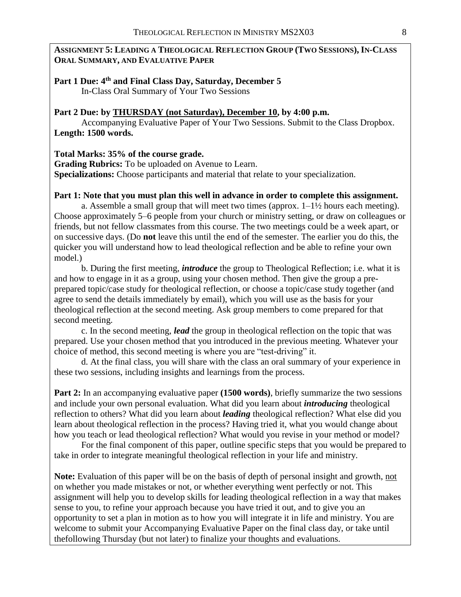### **ASSIGNMENT 5: LEADING A THEOLOGICAL REFLECTION GROUP (TWO SESSIONS), IN-CLASS ORAL SUMMARY, AND EVALUATIVE PAPER**

### **Part 1 Due: 4 th and Final Class Day, Saturday, December 5** In-Class Oral Summary of Your Two Sessions

### **Part 2 Due: by THURSDAY (not Saturday), December 10, by 4:00 p.m.**

Accompanying Evaluative Paper of Your Two Sessions. Submit to the Class Dropbox. **Length: 1500 words.**

### **Total Marks: 35% of the course grade.**

**Grading Rubrics:** To be uploaded on Avenue to Learn. **Specializations:** Choose participants and material that relate to your specialization.

### **Part 1: Note that you must plan this well in advance in order to complete this assignment.**

a. Assemble a small group that will meet two times (approx.  $1-1\frac{1}{2}$  hours each meeting). Choose approximately 5–6 people from your church or ministry setting, or draw on colleagues or friends, but not fellow classmates from this course. The two meetings could be a week apart, or on successive days. (Do **not** leave this until the end of the semester. The earlier you do this, the quicker you will understand how to lead theological reflection and be able to refine your own model.)

b. During the first meeting, *introduce* the group to Theological Reflection; i.e. what it is and how to engage in it as a group, using your chosen method. Then give the group a preprepared topic/case study for theological reflection, or choose a topic/case study together (and agree to send the details immediately by email), which you will use as the basis for your theological reflection at the second meeting. Ask group members to come prepared for that second meeting.

c. In the second meeting, *lead* the group in theological reflection on the topic that was prepared. Use your chosen method that you introduced in the previous meeting. Whatever your choice of method, this second meeting is where you are "test-driving" it.

d. At the final class, you will share with the class an oral summary of your experience in these two sessions, including insights and learnings from the process.

**Part 2:** In an accompanying evaluative paper **(1500 words)**, briefly summarize the two sessions and include your own personal evaluation. What did you learn about *introducing* theological reflection to others? What did you learn about *leading* theological reflection? What else did you learn about theological reflection in the process? Having tried it, what you would change about how you teach or lead theological reflection? What would you revise in your method or model?

For the final component of this paper, outline specific steps that you would be prepared to take in order to integrate meaningful theological reflection in your life and ministry.

Note: Evaluation of this paper will be on the basis of depth of personal insight and growth, not on whether you made mistakes or not, or whether everything went perfectly or not. This assignment will help you to develop skills for leading theological reflection in a way that makes sense to you, to refine your approach because you have tried it out, and to give you an opportunity to set a plan in motion as to how you will integrate it in life and ministry. You are welcome to submit your Accompanying Evaluative Paper on the final class day, or take until thefollowing Thursday (but not later) to finalize your thoughts and evaluations.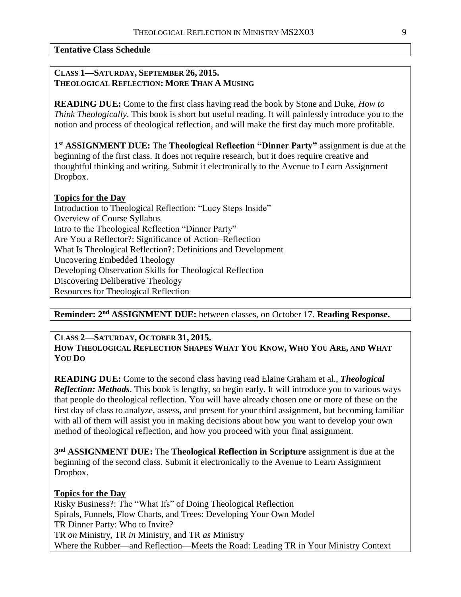**Tentative Class Schedule**

### **CLASS 1—SATURDAY, SEPTEMBER 26, 2015. THEOLOGICAL REFLECTION: MORE THAN A MUSING**

**READING DUE:** Come to the first class having read the book by Stone and Duke, *How to Think Theologically*. This book is short but useful reading. It will painlessly introduce you to the notion and process of theological reflection, and will make the first day much more profitable.

**1 st ASSIGNMENT DUE:** The **Theological Reflection "Dinner Party"** assignment is due at the beginning of the first class. It does not require research, but it does require creative and thoughtful thinking and writing. Submit it electronically to the Avenue to Learn Assignment Dropbox.

### **Topics for the Day**

Introduction to Theological Reflection: "Lucy Steps Inside" Overview of Course Syllabus Intro to the Theological Reflection "Dinner Party" Are You a Reflector?: Significance of Action–Reflection What Is Theological Reflection?: Definitions and Development Uncovering Embedded Theology Developing Observation Skills for Theological Reflection Discovering Deliberative Theology Resources for Theological Reflection

**Reminder: 2 nd ASSIGNMENT DUE:** between classes, on October 17. **Reading Response.**

#### **CLASS 2—SATURDAY, OCTOBER 31, 2015.** HOW THEOLOGICAL REFLECTION SHAPES WHAT YOU KNOW, WHO YOU ARE, AND WHAT **YOU DO**

**READING DUE:** Come to the second class having read Elaine Graham et al., *Theological Reflection: Methods*. This book is lengthy, so begin early. It will introduce you to various ways that people do theological reflection. You will have already chosen one or more of these on the first day of class to analyze, assess, and present for your third assignment, but becoming familiar with all of them will assist you in making decisions about how you want to develop your own method of theological reflection, and how you proceed with your final assignment.

**3 nd ASSIGNMENT DUE:** The **Theological Reflection in Scripture** assignment is due at the beginning of the second class. Submit it electronically to the Avenue to Learn Assignment Dropbox.

## **Topics for the Day**

Risky Business?: The "What Ifs" of Doing Theological Reflection Spirals, Funnels, Flow Charts, and Trees: Developing Your Own Model TR Dinner Party: Who to Invite? TR *on* Ministry, TR *in* Ministry, and TR *as* Ministry Where the Rubber—and Reflection—Meets the Road: Leading TR in Your Ministry Context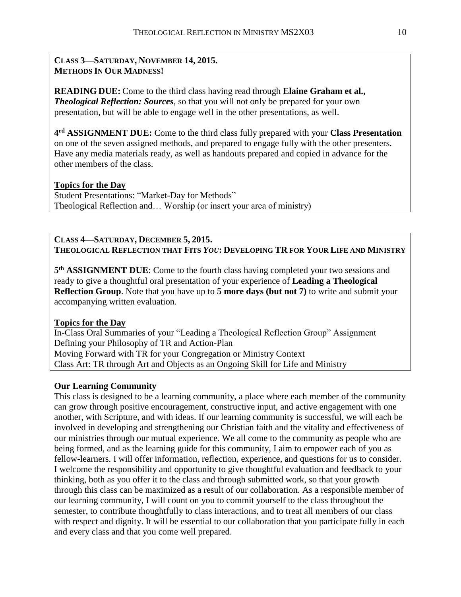### **CLASS 3—SATURDAY, NOVEMBER 14, 2015. METHODS IN OUR MADNESS!**

**READING DUE:** Come to the third class having read through **Elaine Graham et al.,**  *Theological Reflection: Sources*, so that you will not only be prepared for your own presentation, but will be able to engage well in the other presentations, as well.

**4 rd ASSIGNMENT DUE:** Come to the third class fully prepared with your **Class Presentation** on one of the seven assigned methods, and prepared to engage fully with the other presenters. Have any media materials ready, as well as handouts prepared and copied in advance for the other members of the class.

# **Topics for the Day** Student Presentations: "Market-Day for Methods"

Theological Reflection and… Worship (or insert your area of ministry)

### **CLASS 4—SATURDAY, DECEMBER 5, 2015. THEOLOGICAL REFLECTION THAT FITS** *YOU***: DEVELOPING TR FOR YOUR LIFE AND MINISTRY**

**5 th ASSIGNMENT DUE**: Come to the fourth class having completed your two sessions and ready to give a thoughtful oral presentation of your experience of **Leading a Theological Reflection Group**. Note that you have up to **5 more days (but not 7)** to write and submit your accompanying written evaluation.

## **Topics for the Day**

In-Class Oral Summaries of your "Leading a Theological Reflection Group" Assignment Defining your Philosophy of TR and Action-Plan Moving Forward with TR for your Congregation or Ministry Context Class Art: TR through Art and Objects as an Ongoing Skill for Life and Ministry

## **Our Learning Community**

This class is designed to be a learning community, a place where each member of the community can grow through positive encouragement, constructive input, and active engagement with one another, with Scripture, and with ideas. If our learning community is successful, we will each be involved in developing and strengthening our Christian faith and the vitality and effectiveness of our ministries through our mutual experience. We all come to the community as people who are being formed, and as the learning guide for this community, I aim to empower each of you as fellow-learners. I will offer information, reflection, experience, and questions for us to consider. I welcome the responsibility and opportunity to give thoughtful evaluation and feedback to your thinking, both as you offer it to the class and through submitted work, so that your growth through this class can be maximized as a result of our collaboration. As a responsible member of our learning community, I will count on you to commit yourself to the class throughout the semester, to contribute thoughtfully to class interactions, and to treat all members of our class with respect and dignity. It will be essential to our collaboration that you participate fully in each and every class and that you come well prepared.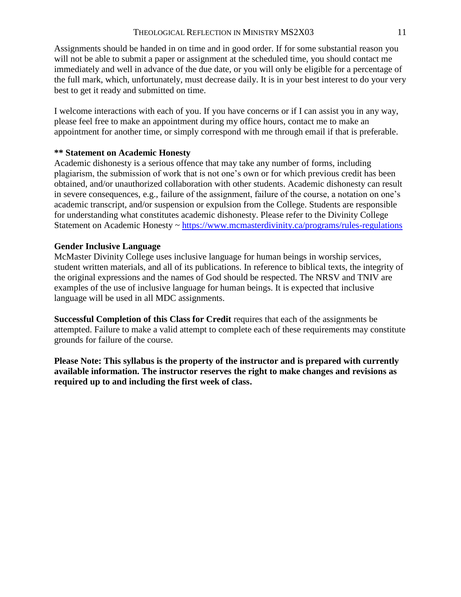Assignments should be handed in on time and in good order. If for some substantial reason you will not be able to submit a paper or assignment at the scheduled time, you should contact me immediately and well in advance of the due date, or you will only be eligible for a percentage of the full mark, which, unfortunately, must decrease daily. It is in your best interest to do your very best to get it ready and submitted on time.

I welcome interactions with each of you. If you have concerns or if I can assist you in any way, please feel free to make an appointment during my office hours, contact me to make an appointment for another time, or simply correspond with me through email if that is preferable.

#### **\*\* Statement on Academic Honesty**

Academic dishonesty is a serious offence that may take any number of forms, including plagiarism, the submission of work that is not one's own or for which previous credit has been obtained, and/or unauthorized collaboration with other students. Academic dishonesty can result in severe consequences, e.g., failure of the assignment, failure of the course, a notation on one's academic transcript, and/or suspension or expulsion from the College. Students are responsible for understanding what constitutes academic dishonesty. Please refer to the Divinity College Statement on Academic Honesty ~<https://www.mcmasterdivinity.ca/programs/rules-regulations>

#### **Gender Inclusive Language**

McMaster Divinity College uses inclusive language for human beings in worship services, student written materials, and all of its publications. In reference to biblical texts, the integrity of the original expressions and the names of God should be respected. The NRSV and TNIV are examples of the use of inclusive language for human beings. It is expected that inclusive language will be used in all MDC assignments.

**Successful Completion of this Class for Credit** requires that each of the assignments be attempted. Failure to make a valid attempt to complete each of these requirements may constitute grounds for failure of the course.

**Please Note: This syllabus is the property of the instructor and is prepared with currently available information. The instructor reserves the right to make changes and revisions as required up to and including the first week of class.**